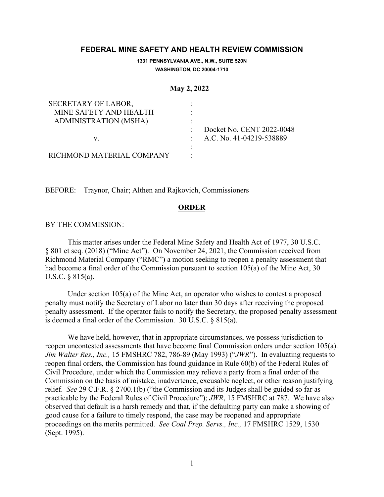## **FEDERAL MINE SAFETY AND HEALTH REVIEW COMMISSION**

**1331 PENNSYLVANIA AVE., N.W., SUITE 520N WASHINGTON, DC 20004-1710**

**May 2, 2022**

| SECRETARY OF LABOR,          |                            |
|------------------------------|----------------------------|
| MINE SAFETY AND HEALTH       |                            |
| <b>ADMINISTRATION (MSHA)</b> |                            |
|                              | Docket No. CENT 2022-0048  |
| V.                           | : A.C. No. 41-04219-538889 |
|                              |                            |
| RICHMOND MATERIAL COMPANY    |                            |

BEFORE: Traynor, Chair; Althen and Rajkovich, Commissioners

## **ORDER**

## BY THE COMMISSION:

 This matter arises under the Federal Mine Safety and Health Act of 1977, 30 U.S.C. § 801 et seq. (2018) ("Mine Act"). On November 24, 2021, the Commission received from Richmond Material Company ("RMC") a motion seeking to reopen a penalty assessment that had become a final order of the Commission pursuant to section 105(a) of the Mine Act, 30 U.S.C. § 815(a).

 Under section 105(a) of the Mine Act, an operator who wishes to contest a proposed penalty must notify the Secretary of Labor no later than 30 days after receiving the proposed penalty assessment. If the operator fails to notify the Secretary, the proposed penalty assessment is deemed a final order of the Commission. 30 U.S.C. § 815(a).

We have held, however, that in appropriate circumstances, we possess jurisdiction to reopen uncontested assessments that have become final Commission orders under section 105(a). *Jim Walter Res., Inc.,* 15 FMSHRC 782, 786-89 (May 1993) ("*JWR*"). In evaluating requests to reopen final orders, the Commission has found guidance in Rule 60(b) of the Federal Rules of Civil Procedure, under which the Commission may relieve a party from a final order of the Commission on the basis of mistake, inadvertence, excusable neglect, or other reason justifying relief. *See* 29 C.F.R. § 2700.1(b) ("the Commission and its Judges shall be guided so far as practicable by the Federal Rules of Civil Procedure"); *JWR*, 15 FMSHRC at 787. We have also observed that default is a harsh remedy and that, if the defaulting party can make a showing of good cause for a failure to timely respond, the case may be reopened and appropriate proceedings on the merits permitted. *See Coal Prep. Servs., Inc.,* 17 FMSHRC 1529, 1530 (Sept. 1995).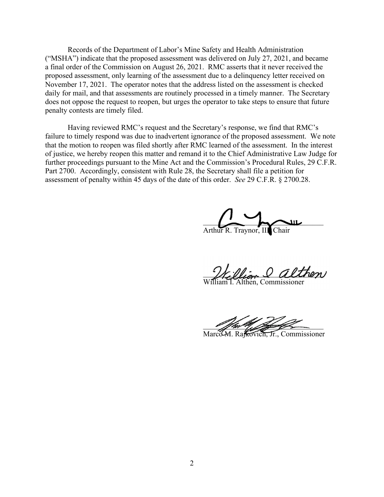Records of the Department of Labor's Mine Safety and Health Administration ("MSHA") indicate that the proposed assessment was delivered on July 27, 2021, and became a final order of the Commission on August 26, 2021. RMC asserts that it never received the proposed assessment, only learning of the assessment due to a delinquency letter received on November 17, 2021. The operator notes that the address listed on the assessment is checked daily for mail, and that assessments are routinely processed in a timely manner. The Secretary does not oppose the request to reopen, but urges the operator to take steps to ensure that future penalty contests are timely filed.

 Having reviewed RMC's request and the Secretary's response, we find that RMC's failure to timely respond was due to inadvertent ignorance of the proposed assessment. We note that the motion to reopen was filed shortly after RMC learned of the assessment. In the interest of justice, we hereby reopen this matter and remand it to the Chief Administrative Law Judge for further proceedings pursuant to the Mine Act and the Commission's Procedural Rules, 29 C.F.R. Part 2700. Accordingly, consistent with Rule 28, the Secretary shall file a petition for assessment of penalty within 45 days of the date of this order. *See* 29 C.F.R. § 2700.28.

 $\overline{\phantom{a}}$ Arthur R. Traynor, III, Chair

W. Vlian & althen

William I. Althen, Commissioner

 $\mathscr{L}$  from  $\mathscr{L}$  , from  $\mathscr{L}$ 

Marco M. Rajkovich, Jr., Commissioner